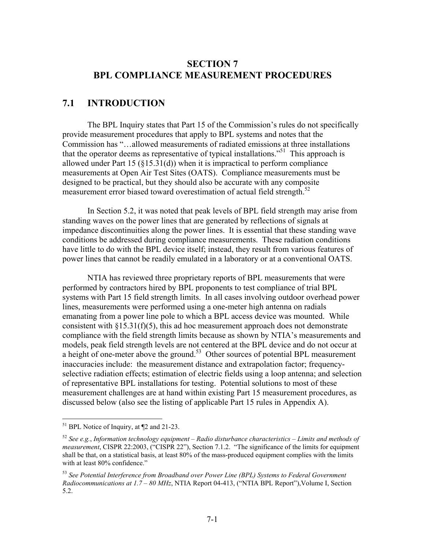#### **SECTION 7 BPL COMPLIANCE MEASUREMENT PROCEDURES**

#### **7.1 INTRODUCTION**

 The BPL Inquiry states that Part 15 of the Commission's rules do not specifically provide measurement procedures that apply to BPL systems and notes that the Commission has "…allowed measurements of radiated emissions at three installations that the operator deems as representative of typical installations."51 This approach is allowed under Part 15 ( $\S$ 15.31(d)) when it is impractical to perform compliance measurements at Open Air Test Sites (OATS). Compliance measurements must be designed to be practical, but they should also be accurate with any composite measurement error biased toward overestimation of actual field strength.<sup>52</sup>

In Section 5.2, it was noted that peak levels of BPL field strength may arise from standing waves on the power lines that are generated by reflections of signals at impedance discontinuities along the power lines. It is essential that these standing wave conditions be addressed during compliance measurements. These radiation conditions have little to do with the BPL device itself; instead, they result from various features of power lines that cannot be readily emulated in a laboratory or at a conventional OATS.

 NTIA has reviewed three proprietary reports of BPL measurements that were performed by contractors hired by BPL proponents to test compliance of trial BPL systems with Part 15 field strength limits. In all cases involving outdoor overhead power lines, measurements were performed using a one-meter high antenna on radials emanating from a power line pole to which a BPL access device was mounted. While consistent with  $\S 15.31(f)(5)$ , this ad hoc measurement approach does not demonstrate compliance with the field strength limits because as shown by NTIA's measurements and models, peak field strength levels are not centered at the BPL device and do not occur at a height of one-meter above the ground.<sup>53</sup> Other sources of potential BPL measurement inaccuracies include: the measurement distance and extrapolation factor; frequencyselective radiation effects; estimation of electric fields using a loop antenna; and selection of representative BPL installations for testing. Potential solutions to most of these measurement challenges are at hand within existing Part 15 measurement procedures, as discussed below (also see the listing of applicable Part 15 rules in Appendix A).

<sup>&</sup>lt;sup>51</sup> BPL Notice of Inquiry, at ¶2 and 21-23.

<sup>52</sup> *See e.g.*, *Information technology equipment – Radio disturbance characteristics – Limits and methods of measurement*, CISPR 22:2003, ("CISPR 22"), Section 7.1.2. "The significance of the limits for equipment shall be that, on a statistical basis, at least 80% of the mass-produced equipment complies with the limits with at least 80% confidence."

<sup>53</sup> *See Potential Interference from Broadband over Power Line (BPL) Systems to Federal Government Radiocommunications at 1.7 – 80 MHz*, NTIA Report 04-413, ("NTIA BPL Report"),Volume I, Section 5.2.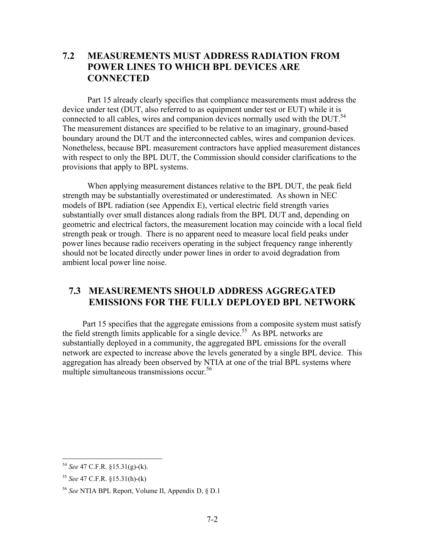### **7.2 MEASUREMENTS MUST ADDRESS RADIATION FROM POWER LINES TO WHICH BPL DEVICES ARE CONNECTED**

Part 15 already clearly specifies that compliance measurements must address the device under test (DUT, also referred to as equipment under test or EUT) while it is connected to all cables, wires and companion devices normally used with the DUT.<sup>54</sup> The measurement distances are specified to be relative to an imaginary, ground-based boundary around the DUT and the interconnected cables, wires and companion devices. Nonetheless, because BPL measurement contractors have applied measurement distances with respect to only the BPL DUT, the Commission should consider clarifications to the provisions that apply to BPL systems.

When applying measurement distances relative to the BPL DUT, the peak field strength may be substantially overestimated or underestimated. As shown in NEC models of BPL radiation (see Appendix E), vertical electric field strength varies substantially over small distances along radials from the BPL DUT and, depending on geometric and electrical factors, the measurement location may coincide with a local field strength peak or trough. There is no apparent need to measure local field peaks under power lines because radio receivers operating in the subject frequency range inherently should not be located directly under power lines in order to avoid degradation from ambient local power line noise.

#### **7.3 MEASUREMENTS SHOULD ADDRESS AGGREGATED EMISSIONS FOR THE FULLY DEPLOYED BPL NETWORK**

Part 15 specifies that the aggregate emissions from a composite system must satisfy the field strength limits applicable for a single device.<sup>55</sup> As BPL networks are substantially deployed in a community, the aggregated BPL emissions for the overall network are expected to increase above the levels generated by a single BPL device. This aggregation has already been observed by NTIA at one of the trial BPL systems where multiple simultaneous transmissions occur.<sup>56</sup>

<sup>54</sup> *See* 47 C.F.R. §15.31(g)-(k).

<sup>55</sup> *See* 47 C.F.R. §15.31(h)-(k)

<sup>56</sup> *See* NTIA BPL Report, Volume II, Appendix D, § D.1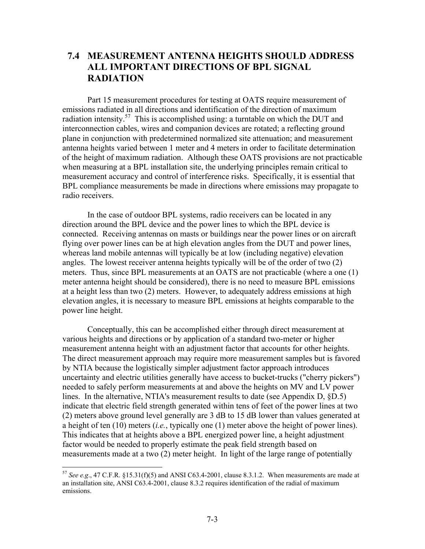### **7.4 MEASUREMENT ANTENNA HEIGHTS SHOULD ADDRESS ALL IMPORTANT DIRECTIONS OF BPL SIGNAL RADIATION**

 Part 15 measurement procedures for testing at OATS require measurement of emissions radiated in all directions and identification of the direction of maximum radiation intensity.<sup>57</sup> This is accomplished using: a turntable on which the DUT and interconnection cables, wires and companion devices are rotated; a reflecting ground plane in conjunction with predetermined normalized site attenuation; and measurement antenna heights varied between 1 meter and 4 meters in order to facilitate determination of the height of maximum radiation. Although these OATS provisions are not practicable when measuring at a BPL installation site, the underlying principles remain critical to measurement accuracy and control of interference risks. Specifically, it is essential that BPL compliance measurements be made in directions where emissions may propagate to radio receivers.

In the case of outdoor BPL systems, radio receivers can be located in any direction around the BPL device and the power lines to which the BPL device is connected. Receiving antennas on masts or buildings near the power lines or on aircraft flying over power lines can be at high elevation angles from the DUT and power lines, whereas land mobile antennas will typically be at low (including negative) elevation angles. The lowest receiver antenna heights typically will be of the order of two (2) meters. Thus, since BPL measurements at an OATS are not practicable (where a one (1) meter antenna height should be considered), there is no need to measure BPL emissions at a height less than two (2) meters. However, to adequately address emissions at high elevation angles, it is necessary to measure BPL emissions at heights comparable to the power line height.

Conceptually, this can be accomplished either through direct measurement at various heights and directions or by application of a standard two-meter or higher measurement antenna height with an adjustment factor that accounts for other heights. The direct measurement approach may require more measurement samples but is favored by NTIA because the logistically simpler adjustment factor approach introduces uncertainty and electric utilities generally have access to bucket-trucks ("cherry pickers") needed to safely perform measurements at and above the heights on MV and LV power lines. In the alternative, NTIA's measurement results to date (see Appendix D, §D.5) indicate that electric field strength generated within tens of feet of the power lines at two (2) meters above ground level generally are 3 dB to 15 dB lower than values generated at a height of ten (10) meters (*i.e.*, typically one (1) meter above the height of power lines). This indicates that at heights above a BPL energized power line, a height adjustment factor would be needed to properly estimate the peak field strength based on measurements made at a two (2) meter height. In light of the large range of potentially

 $57$  *See e.g.*, 47 C.F.R. §15.31(f)(5) and ANSI C63.4-2001, clause 8.3.1.2. When measurements are made at an installation site, ANSI C63.4-2001, clause 8.3.2 requires identification of the radial of maximum emissions.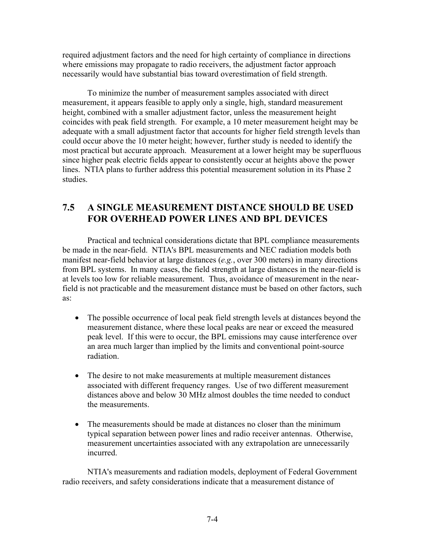required adjustment factors and the need for high certainty of compliance in directions where emissions may propagate to radio receivers, the adjustment factor approach necessarily would have substantial bias toward overestimation of field strength.

To minimize the number of measurement samples associated with direct measurement, it appears feasible to apply only a single, high, standard measurement height, combined with a smaller adjustment factor, unless the measurement height coincides with peak field strength. For example, a 10 meter measurement height may be adequate with a small adjustment factor that accounts for higher field strength levels than could occur above the 10 meter height; however, further study is needed to identify the most practical but accurate approach. Measurement at a lower height may be superfluous since higher peak electric fields appear to consistently occur at heights above the power lines. NTIA plans to further address this potential measurement solution in its Phase 2 studies.

# **7.5 A SINGLE MEASUREMENT DISTANCE SHOULD BE USED FOR OVERHEAD POWER LINES AND BPL DEVICES**

Practical and technical considerations dictate that BPL compliance measurements be made in the near-field. NTIA's BPL measurements and NEC radiation models both manifest near-field behavior at large distances (*e.g.*, over 300 meters) in many directions from BPL systems. In many cases, the field strength at large distances in the near-field is at levels too low for reliable measurement. Thus, avoidance of measurement in the nearfield is not practicable and the measurement distance must be based on other factors, such as:

- The possible occurrence of local peak field strength levels at distances beyond the measurement distance, where these local peaks are near or exceed the measured peak level. If this were to occur, the BPL emissions may cause interference over an area much larger than implied by the limits and conventional point-source radiation.
- The desire to not make measurements at multiple measurement distances associated with different frequency ranges. Use of two different measurement distances above and below 30 MHz almost doubles the time needed to conduct the measurements.
- The measurements should be made at distances no closer than the minimum typical separation between power lines and radio receiver antennas. Otherwise, measurement uncertainties associated with any extrapolation are unnecessarily incurred.

NTIA's measurements and radiation models, deployment of Federal Government radio receivers, and safety considerations indicate that a measurement distance of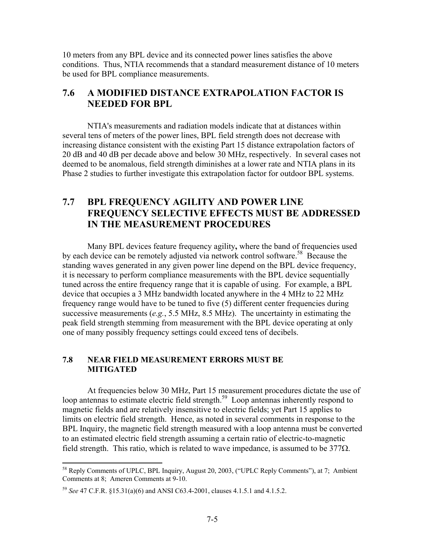10 meters from any BPL device and its connected power lines satisfies the above conditions. Thus, NTIA recommends that a standard measurement distance of 10 meters be used for BPL compliance measurements.

### **7.6 A MODIFIED DISTANCE EXTRAPOLATION FACTOR IS NEEDED FOR BPL**

NTIA's measurements and radiation models indicate that at distances within several tens of meters of the power lines, BPL field strength does not decrease with increasing distance consistent with the existing Part 15 distance extrapolation factors of 20 dB and 40 dB per decade above and below 30 MHz, respectively. In several cases not deemed to be anomalous, field strength diminishes at a lower rate and NTIA plans in its Phase 2 studies to further investigate this extrapolation factor for outdoor BPL systems.

### **7.7 BPL FREQUENCY AGILITY AND POWER LINE FREQUENCY SELECTIVE EFFECTS MUST BE ADDRESSED IN THE MEASUREMENT PROCEDURES**

Many BPL devices feature frequency agility**,** where the band of frequencies used by each device can be remotely adjusted via network control software.<sup>58</sup> Because the standing waves generated in any given power line depend on the BPL device frequency, it is necessary to perform compliance measurements with the BPL device sequentially tuned across the entire frequency range that it is capable of using. For example, a BPL device that occupies a 3 MHz bandwidth located anywhere in the 4 MHz to 22 MHz frequency range would have to be tuned to five (5) different center frequencies during successive measurements (*e.g.*, 5.5 MHz, 8.5 MHz). The uncertainty in estimating the peak field strength stemming from measurement with the BPL device operating at only one of many possibly frequency settings could exceed tens of decibels.

#### **7.8 NEAR FIELD MEASUREMENT ERRORS MUST BE MITIGATED**

At frequencies below 30 MHz, Part 15 measurement procedures dictate the use of loop antennas to estimate electric field strength.<sup>59</sup> Loop antennas inherently respond to magnetic fields and are relatively insensitive to electric fields; yet Part 15 applies to limits on electric field strength. Hence, as noted in several comments in response to the BPL Inquiry, the magnetic field strength measured with a loop antenna must be converted to an estimated electric field strength assuming a certain ratio of electric-to-magnetic field strength. This ratio, which is related to wave impedance, is assumed to be  $377\Omega$ .

<sup>&</sup>lt;sup>58</sup> Reply Comments of UPLC, BPL Inquiry, August 20, 2003, ("UPLC Reply Comments"), at 7; Ambient Comments at 8; Ameren Comments at 9-10.

<sup>59</sup> *See* 47 C.F.R. §15.31(a)(6) and ANSI C63.4-2001, clauses 4.1.5.1 and 4.1.5.2.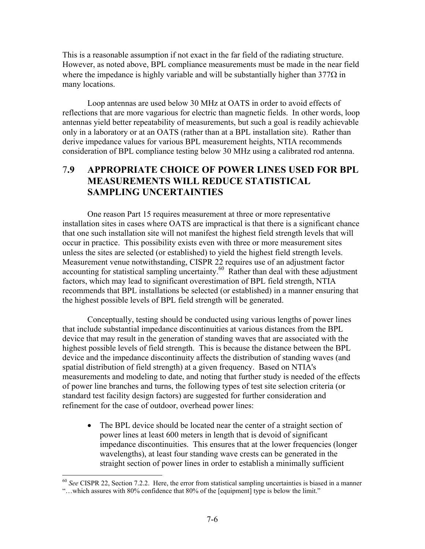This is a reasonable assumption if not exact in the far field of the radiating structure. However, as noted above, BPL compliance measurements must be made in the near field where the impedance is highly variable and will be substantially higher than  $377\Omega$  in many locations.

Loop antennas are used below 30 MHz at OATS in order to avoid effects of reflections that are more vagarious for electric than magnetic fields. In other words, loop antennas yield better repeatability of measurements, but such a goal is readily achievable only in a laboratory or at an OATS (rather than at a BPL installation site). Rather than derive impedance values for various BPL measurement heights, NTIA recommends consideration of BPL compliance testing below 30 MHz using a calibrated rod antenna.

### 7**.9 APPROPRIATE CHOICE OF POWER LINES USED FOR BPL MEASUREMENTS WILL REDUCE STATISTICAL SAMPLING UNCERTAINTIES**

One reason Part 15 requires measurement at three or more representative installation sites in cases where OATS are impractical is that there is a significant chance that one such installation site will not manifest the highest field strength levels that will occur in practice. This possibility exists even with three or more measurement sites unless the sites are selected (or established) to yield the highest field strength levels. Measurement venue notwithstanding, CISPR 22 requires use of an adjustment factor accounting for statistical sampling uncertainty. $60$  Rather than deal with these adjustment factors, which may lead to significant overestimation of BPL field strength, NTIA recommends that BPL installations be selected (or established) in a manner ensuring that the highest possible levels of BPL field strength will be generated.

Conceptually, testing should be conducted using various lengths of power lines that include substantial impedance discontinuities at various distances from the BPL device that may result in the generation of standing waves that are associated with the highest possible levels of field strength. This is because the distance between the BPL device and the impedance discontinuity affects the distribution of standing waves (and spatial distribution of field strength) at a given frequency. Based on NTIA's measurements and modeling to date, and noting that further study is needed of the effects of power line branches and turns, the following types of test site selection criteria (or standard test facility design factors) are suggested for further consideration and refinement for the case of outdoor, overhead power lines:

• The BPL device should be located near the center of a straight section of power lines at least 600 meters in length that is devoid of significant impedance discontinuities. This ensures that at the lower frequencies (longer wavelengths), at least four standing wave crests can be generated in the straight section of power lines in order to establish a minimally sufficient

<sup>60</sup> *See* CISPR 22, Section 7.2.2. Here, the error from statistical sampling uncertainties is biased in a manner "…which assures with 80% confidence that 80% of the [equipment] type is below the limit."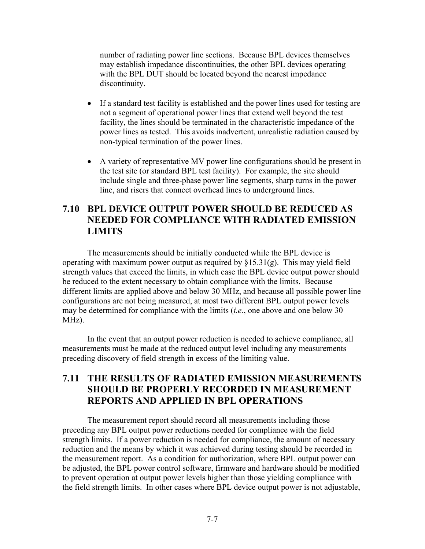number of radiating power line sections. Because BPL devices themselves may establish impedance discontinuities, the other BPL devices operating with the BPL DUT should be located beyond the nearest impedance discontinuity.

- If a standard test facility is established and the power lines used for testing are not a segment of operational power lines that extend well beyond the test facility, the lines should be terminated in the characteristic impedance of the power lines as tested. This avoids inadvertent, unrealistic radiation caused by non-typical termination of the power lines.
- A variety of representative MV power line configurations should be present in the test site (or standard BPL test facility). For example, the site should include single and three-phase power line segments, sharp turns in the power line, and risers that connect overhead lines to underground lines.

### **7.10 BPL DEVICE OUTPUT POWER SHOULD BE REDUCED AS NEEDED FOR COMPLIANCE WITH RADIATED EMISSION LIMITS**

The measurements should be initially conducted while the BPL device is operating with maximum power output as required by §15.31(g). This may yield field strength values that exceed the limits, in which case the BPL device output power should be reduced to the extent necessary to obtain compliance with the limits. Because different limits are applied above and below 30 MHz, and because all possible power line configurations are not being measured, at most two different BPL output power levels may be determined for compliance with the limits (*i.e*., one above and one below 30 MHz).

In the event that an output power reduction is needed to achieve compliance, all measurements must be made at the reduced output level including any measurements preceding discovery of field strength in excess of the limiting value.

## **7.11 THE RESULTS OF RADIATED EMISSION MEASUREMENTS SHOULD BE PROPERLY RECORDED IN MEASUREMENT REPORTS AND APPLIED IN BPL OPERATIONS**

The measurement report should record all measurements including those preceding any BPL output power reductions needed for compliance with the field strength limits. If a power reduction is needed for compliance, the amount of necessary reduction and the means by which it was achieved during testing should be recorded in the measurement report. As a condition for authorization, where BPL output power can be adjusted, the BPL power control software, firmware and hardware should be modified to prevent operation at output power levels higher than those yielding compliance with the field strength limits. In other cases where BPL device output power is not adjustable,